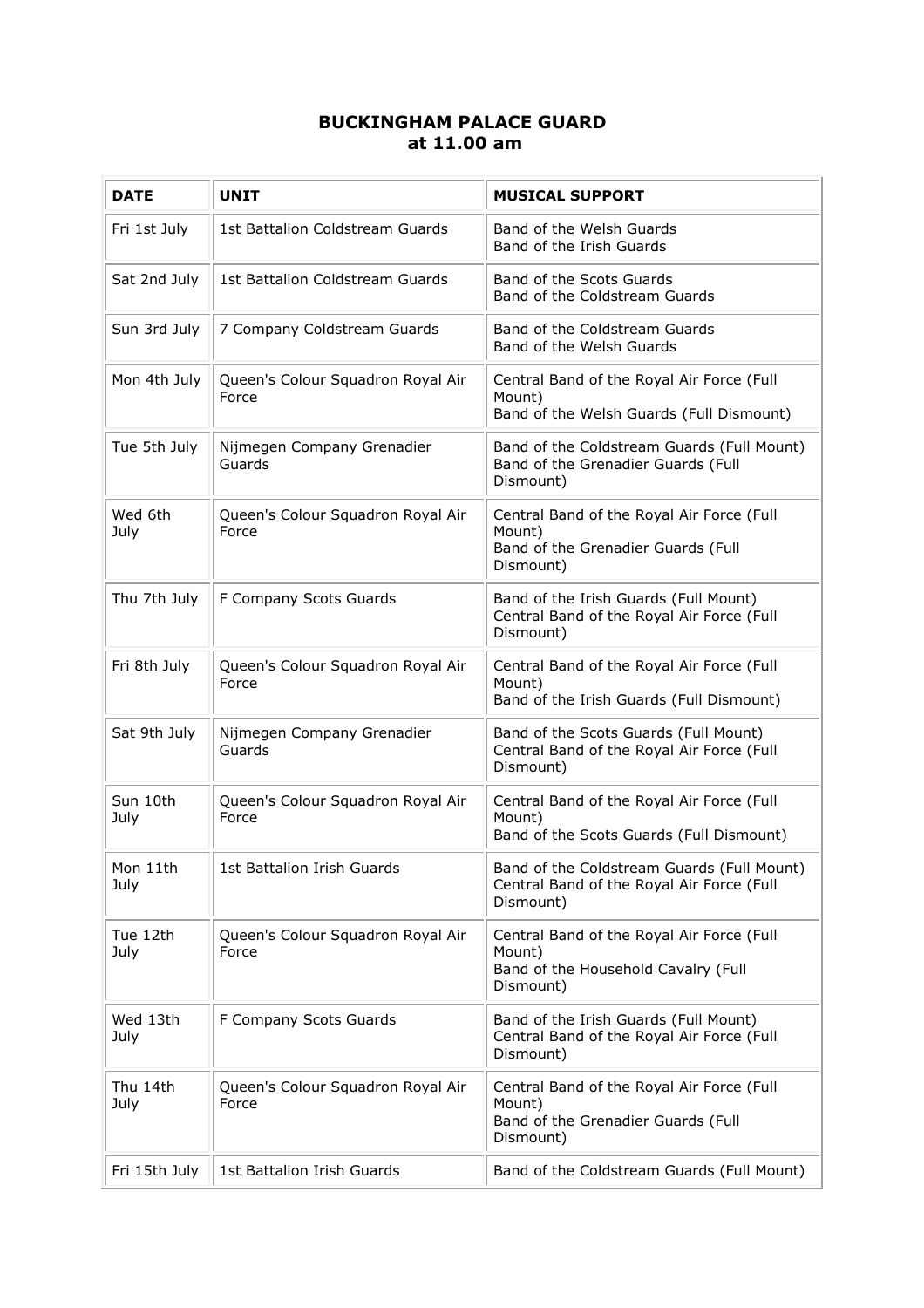## **BUCKINGHAM PALACE GUARD at 11.00 am**

| <b>DATE</b>      | <b>UNIT</b>                                | <b>MUSICAL SUPPORT</b>                                                                                  |
|------------------|--------------------------------------------|---------------------------------------------------------------------------------------------------------|
| Fri 1st July     | 1st Battalion Coldstream Guards            | Band of the Welsh Guards<br>Band of the Irish Guards                                                    |
| Sat 2nd July     | 1st Battalion Coldstream Guards            | Band of the Scots Guards<br>Band of the Coldstream Guards                                               |
| Sun 3rd July     | 7 Company Coldstream Guards                | Band of the Coldstream Guards<br>Band of the Welsh Guards                                               |
| Mon 4th July     | Queen's Colour Squadron Royal Air<br>Force | Central Band of the Royal Air Force (Full<br>Mount)<br>Band of the Welsh Guards (Full Dismount)         |
| Tue 5th July     | Nijmegen Company Grenadier<br>Guards       | Band of the Coldstream Guards (Full Mount)<br>Band of the Grenadier Guards (Full<br>Dismount)           |
| Wed 6th<br>July  | Queen's Colour Squadron Royal Air<br>Force | Central Band of the Royal Air Force (Full<br>Mount)<br>Band of the Grenadier Guards (Full<br>Dismount)  |
| Thu 7th July     | F Company Scots Guards                     | Band of the Irish Guards (Full Mount)<br>Central Band of the Royal Air Force (Full<br>Dismount)         |
| Fri 8th July     | Queen's Colour Squadron Royal Air<br>Force | Central Band of the Royal Air Force (Full<br>Mount)<br>Band of the Irish Guards (Full Dismount)         |
| Sat 9th July     | Nijmegen Company Grenadier<br>Guards       | Band of the Scots Guards (Full Mount)<br>Central Band of the Royal Air Force (Full<br>Dismount)         |
| Sun 10th<br>July | Queen's Colour Squadron Royal Air<br>Force | Central Band of the Royal Air Force (Full<br>Mount)<br>Band of the Scots Guards (Full Dismount)         |
| Mon 11th<br>July | 1st Battalion Irish Guards                 | Band of the Coldstream Guards (Full Mount)<br>Central Band of the Royal Air Force (Full<br>Dismount)    |
| Tue 12th<br>July | Queen's Colour Squadron Royal Air<br>Force | Central Band of the Royal Air Force (Full<br>Mount)<br>Band of the Household Cavalry (Full<br>Dismount) |
| Wed 13th<br>July | F Company Scots Guards                     | Band of the Irish Guards (Full Mount)<br>Central Band of the Royal Air Force (Full<br>Dismount)         |
| Thu 14th<br>July | Queen's Colour Squadron Royal Air<br>Force | Central Band of the Royal Air Force (Full<br>Mount)<br>Band of the Grenadier Guards (Full<br>Dismount)  |
| Fri 15th July    | 1st Battalion Irish Guards                 | Band of the Coldstream Guards (Full Mount)                                                              |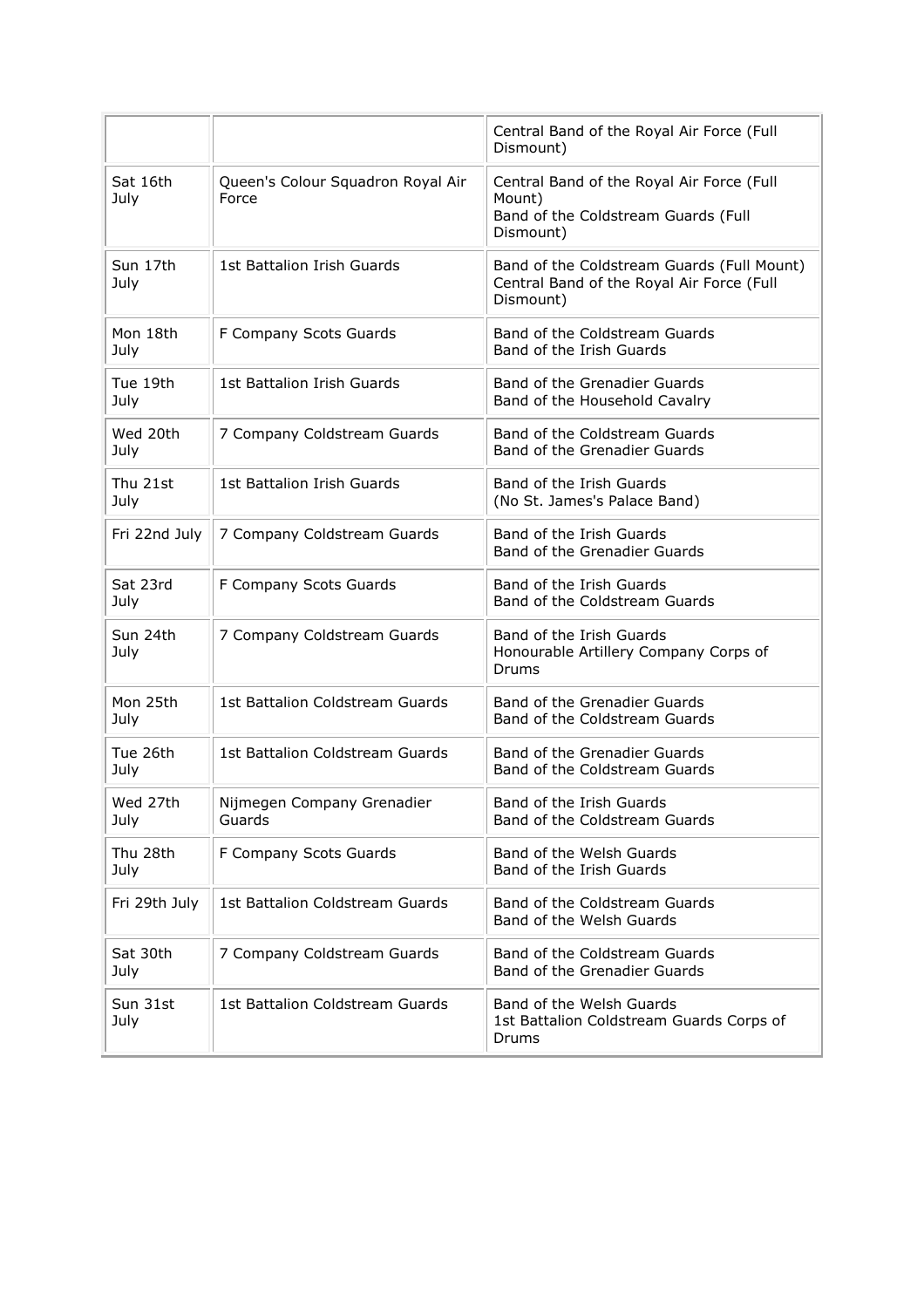|                  |                                            | Central Band of the Royal Air Force (Full<br>Dismount)                                                  |
|------------------|--------------------------------------------|---------------------------------------------------------------------------------------------------------|
| Sat 16th<br>July | Queen's Colour Squadron Royal Air<br>Force | Central Band of the Royal Air Force (Full<br>Mount)<br>Band of the Coldstream Guards (Full<br>Dismount) |
| Sun 17th<br>July | 1st Battalion Irish Guards                 | Band of the Coldstream Guards (Full Mount)<br>Central Band of the Royal Air Force (Full<br>Dismount)    |
| Mon 18th<br>July | F Company Scots Guards                     | Band of the Coldstream Guards<br>Band of the Irish Guards                                               |
| Tue 19th<br>July | 1st Battalion Irish Guards                 | Band of the Grenadier Guards<br>Band of the Household Cavalry                                           |
| Wed 20th<br>July | 7 Company Coldstream Guards                | Band of the Coldstream Guards<br>Band of the Grenadier Guards                                           |
| Thu 21st<br>July | 1st Battalion Irish Guards                 | Band of the Irish Guards<br>(No St. James's Palace Band)                                                |
| Fri 22nd July    | 7 Company Coldstream Guards                | Band of the Irish Guards<br>Band of the Grenadier Guards                                                |
| Sat 23rd<br>July | F Company Scots Guards                     | Band of the Irish Guards<br>Band of the Coldstream Guards                                               |
| Sun 24th<br>July | 7 Company Coldstream Guards                | Band of the Irish Guards<br>Honourable Artillery Company Corps of<br>Drums                              |
| Mon 25th<br>July | 1st Battalion Coldstream Guards            | Band of the Grenadier Guards<br>Band of the Coldstream Guards                                           |
| Tue 26th<br>July | 1st Battalion Coldstream Guards            | Band of the Grenadier Guards<br>Band of the Coldstream Guards                                           |
| Wed 27th<br>July | Nijmegen Company Grenadier<br>Guards       | Band of the Irish Guards<br>Band of the Coldstream Guards                                               |
| Thu 28th<br>July | F Company Scots Guards                     | Band of the Welsh Guards<br>Band of the Irish Guards                                                    |
| Fri 29th July    | 1st Battalion Coldstream Guards            | Band of the Coldstream Guards<br>Band of the Welsh Guards                                               |
| Sat 30th<br>July | 7 Company Coldstream Guards                | Band of the Coldstream Guards<br>Band of the Grenadier Guards                                           |
| Sun 31st<br>July | 1st Battalion Coldstream Guards            | Band of the Welsh Guards<br>1st Battalion Coldstream Guards Corps of<br>Drums                           |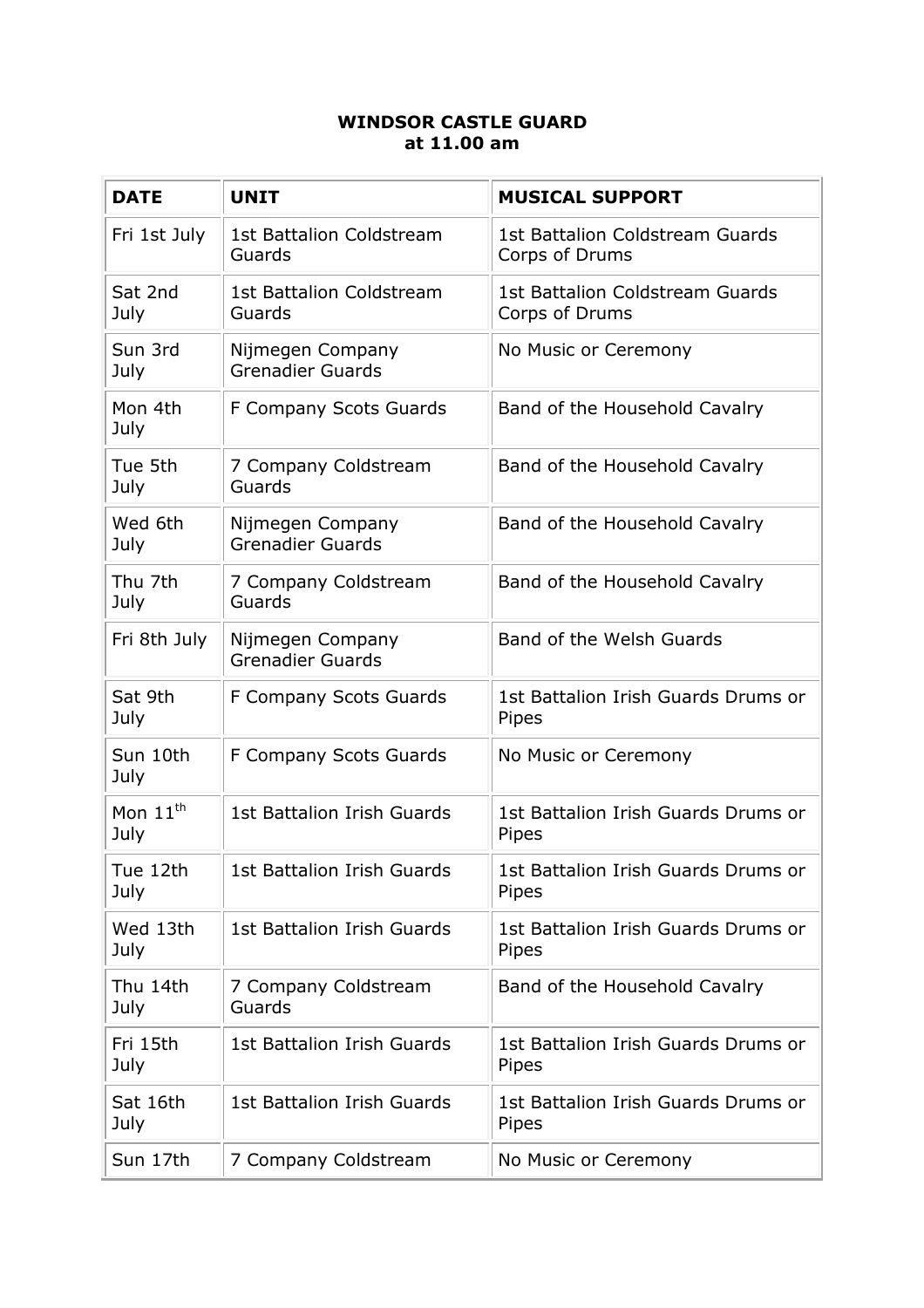## **WINDSOR CASTLE GUARD at 11.00 am**

| <b>DATE</b>                  | <b>UNIT</b>                                 | <b>MUSICAL SUPPORT</b>                            |
|------------------------------|---------------------------------------------|---------------------------------------------------|
| Fri 1st July                 | <b>1st Battalion Coldstream</b><br>Guards   | 1st Battalion Coldstream Guards<br>Corps of Drums |
| Sat 2nd<br>July              | <b>1st Battalion Coldstream</b><br>Guards   | 1st Battalion Coldstream Guards<br>Corps of Drums |
| Sun 3rd<br>July              | Nijmegen Company<br><b>Grenadier Guards</b> | No Music or Ceremony                              |
| Mon 4th<br>July              | F Company Scots Guards                      | Band of the Household Cavalry                     |
| Tue 5th<br>July              | 7 Company Coldstream<br>Guards              | Band of the Household Cavalry                     |
| Wed 6th<br>July              | Nijmegen Company<br><b>Grenadier Guards</b> | Band of the Household Cavalry                     |
| Thu 7th<br>July              | 7 Company Coldstream<br>Guards              | Band of the Household Cavalry                     |
| Fri 8th July                 | Nijmegen Company<br><b>Grenadier Guards</b> | Band of the Welsh Guards                          |
| Sat 9th<br>July              | F Company Scots Guards                      | 1st Battalion Irish Guards Drums or<br>Pipes      |
| Sun 10th<br>July             | F Company Scots Guards                      | No Music or Ceremony                              |
| Mon $11^{\text{th}}$<br>July | <b>1st Battalion Irish Guards</b>           | 1st Battalion Irish Guards Drums or<br>Pipes      |
| Tue 12th<br>July             | 1st Battalion Irish Guards                  | 1st Battalion Irish Guards Drums or<br>Pipes      |
| Wed 13th<br>July             | <b>1st Battalion Irish Guards</b>           | 1st Battalion Irish Guards Drums or<br>Pipes      |
| Thu 14th<br>July             | 7 Company Coldstream<br>Guards              | Band of the Household Cavalry                     |
| Fri 15th<br>July             | 1st Battalion Irish Guards                  | 1st Battalion Irish Guards Drums or<br>Pipes      |
| Sat 16th<br>July             | <b>1st Battalion Irish Guards</b>           | 1st Battalion Irish Guards Drums or<br>Pipes      |
| Sun 17th                     | 7 Company Coldstream                        | No Music or Ceremony                              |